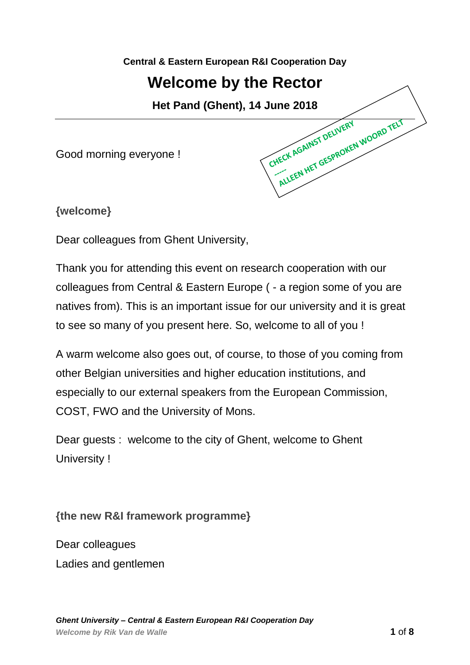**Central & Eastern European R&I Cooperation Day**

# **Welcome by the Rector**

**Het Pand (Ghent), 14 June 2018**<br>yone !

Good morning everyone !

**{welcome}**

Dear colleagues from Ghent University,

Thank you for attending this event on research cooperation with our colleagues from Central & Eastern Europe ( - a region some of you are natives from). This is an important issue for our university and it is great to see so many of you present here. So, welcome to all of you !

A warm welcome also goes out, of course, to those of you coming from other Belgian universities and higher education institutions, and especially to our external speakers from the European Commission, COST, FWO and the University of Mons.

Dear guests : welcome to the city of Ghent, welcome to Ghent University !

**{the new R&I framework programme}**

Dear colleagues Ladies and gentlemen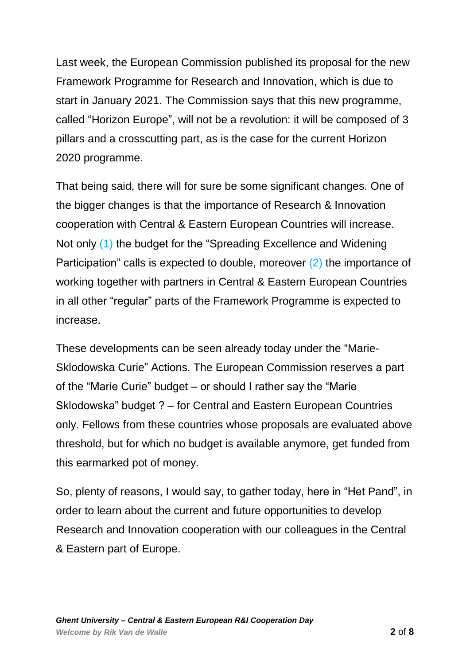Last week, the European Commission published its proposal for the new Framework Programme for Research and Innovation, which is due to start in January 2021. The Commission says that this new programme, called "Horizon Europe", will not be a revolution: it will be composed of 3 pillars and a crosscutting part, as is the case for the current Horizon 2020 programme.

That being said, there will for sure be some significant changes. One of the bigger changes is that the importance of Research & Innovation cooperation with Central & Eastern European Countries will increase. Not only (1) the budget for the "Spreading Excellence and Widening Participation" calls is expected to double, moreover (2) the importance of working together with partners in Central & Eastern European Countries in all other "regular" parts of the Framework Programme is expected to increase.

These developments can be seen already today under the "Marie-Sklodowska Curie" Actions. The European Commission reserves a part of the "Marie Curie" budget – or should I rather say the "Marie Sklodowska" budget ? – for Central and Eastern European Countries only. Fellows from these countries whose proposals are evaluated above threshold, but for which no budget is available anymore, get funded from this earmarked pot of money.

So, plenty of reasons, I would say, to gather today, here in "Het Pand", in order to learn about the current and future opportunities to develop Research and Innovation cooperation with our colleagues in the Central & Eastern part of Europe.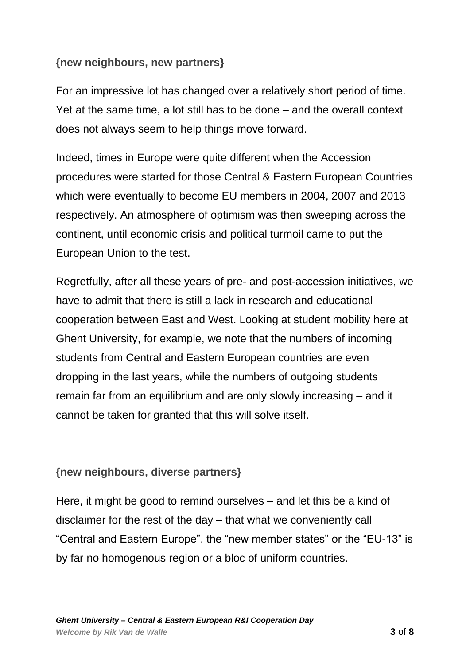#### **{new neighbours, new partners}**

For an impressive lot has changed over a relatively short period of time. Yet at the same time, a lot still has to be done – and the overall context does not always seem to help things move forward.

Indeed, times in Europe were quite different when the Accession procedures were started for those Central & Eastern European Countries which were eventually to become EU members in 2004, 2007 and 2013 respectively. An atmosphere of optimism was then sweeping across the continent, until economic crisis and political turmoil came to put the European Union to the test.

Regretfully, after all these years of pre- and post-accession initiatives, we have to admit that there is still a lack in research and educational cooperation between East and West. Looking at student mobility here at Ghent University, for example, we note that the numbers of incoming students from Central and Eastern European countries are even dropping in the last years, while the numbers of outgoing students remain far from an equilibrium and are only slowly increasing – and it cannot be taken for granted that this will solve itself.

### **{new neighbours, diverse partners}**

Here, it might be good to remind ourselves – and let this be a kind of disclaimer for the rest of the day – that what we conveniently call "Central and Eastern Europe", the "new member states" or the "EU-13" is by far no homogenous region or a bloc of uniform countries.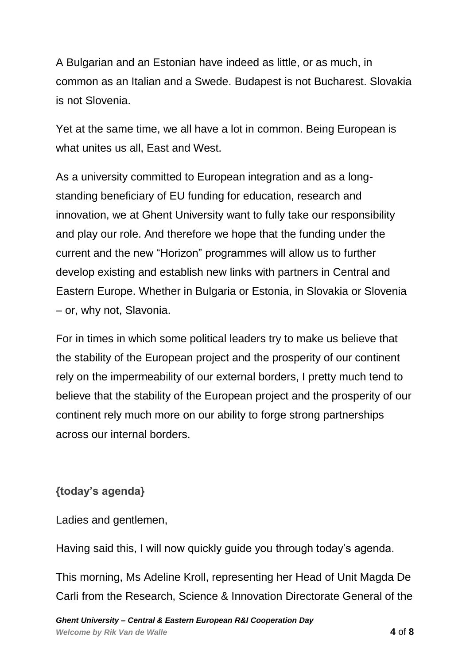A Bulgarian and an Estonian have indeed as little, or as much, in common as an Italian and a Swede. Budapest is not Bucharest. Slovakia is not Slovenia.

Yet at the same time, we all have a lot in common. Being European is what unites us all, East and West.

As a university committed to European integration and as a longstanding beneficiary of EU funding for education, research and innovation, we at Ghent University want to fully take our responsibility and play our role. And therefore we hope that the funding under the current and the new "Horizon" programmes will allow us to further develop existing and establish new links with partners in Central and Eastern Europe. Whether in Bulgaria or Estonia, in Slovakia or Slovenia – or, why not, Slavonia.

For in times in which some political leaders try to make us believe that the stability of the European project and the prosperity of our continent rely on the impermeability of our external borders, I pretty much tend to believe that the stability of the European project and the prosperity of our continent rely much more on our ability to forge strong partnerships across our internal borders.

## **{today's agenda}**

Ladies and gentlemen,

Having said this, I will now quickly guide you through today's agenda.

This morning, Ms Adeline Kroll, representing her Head of Unit Magda De Carli from the Research, Science & Innovation Directorate General of the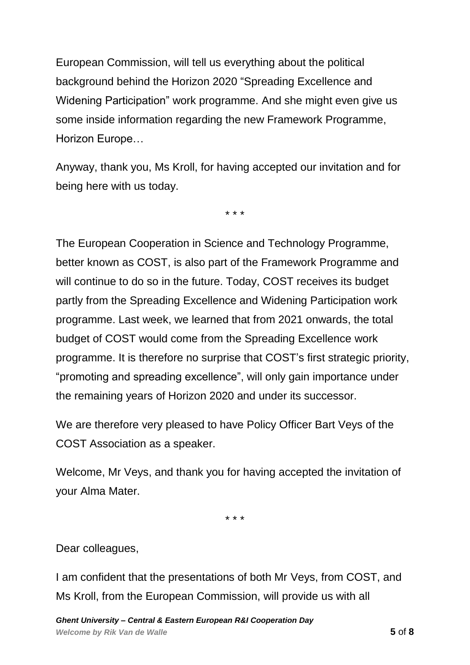European Commission, will tell us everything about the political background behind the Horizon 2020 "Spreading Excellence and Widening Participation" work programme. And she might even give us some inside information regarding the new Framework Programme, Horizon Europe…

Anyway, thank you, Ms Kroll, for having accepted our invitation and for being here with us today.

\* \* \*

The European Cooperation in Science and Technology Programme, better known as COST, is also part of the Framework Programme and will continue to do so in the future. Today, COST receives its budget partly from the Spreading Excellence and Widening Participation work programme. Last week, we learned that from 2021 onwards, the total budget of COST would come from the Spreading Excellence work programme. It is therefore no surprise that COST's first strategic priority, "promoting and spreading excellence", will only gain importance under the remaining years of Horizon 2020 and under its successor.

We are therefore very pleased to have Policy Officer Bart Veys of the COST Association as a speaker.

Welcome, Mr Veys, and thank you for having accepted the invitation of your Alma Mater.

\* \* \*

Dear colleagues,

I am confident that the presentations of both Mr Veys, from COST, and Ms Kroll, from the European Commission, will provide us with all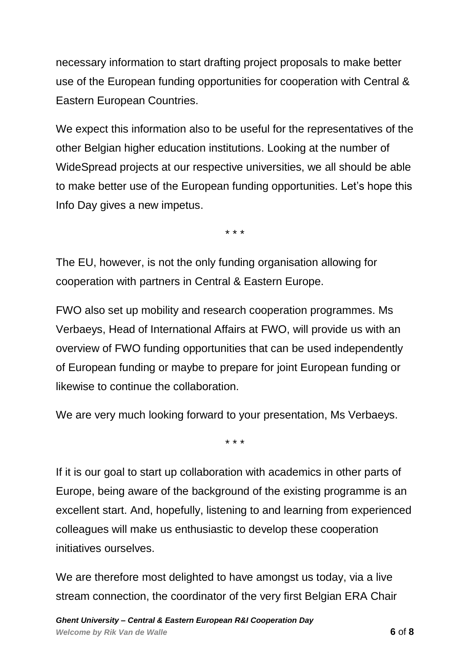necessary information to start drafting project proposals to make better use of the European funding opportunities for cooperation with Central & Eastern European Countries.

We expect this information also to be useful for the representatives of the other Belgian higher education institutions. Looking at the number of WideSpread projects at our respective universities, we all should be able to make better use of the European funding opportunities. Let's hope this Info Day gives a new impetus.

\* \* \*

The EU, however, is not the only funding organisation allowing for cooperation with partners in Central & Eastern Europe.

FWO also set up mobility and research cooperation programmes. Ms Verbaeys, Head of International Affairs at FWO, will provide us with an overview of FWO funding opportunities that can be used independently of European funding or maybe to prepare for joint European funding or likewise to continue the collaboration.

We are very much looking forward to your presentation, Ms Verbaeys.

\* \* \*

If it is our goal to start up collaboration with academics in other parts of Europe, being aware of the background of the existing programme is an excellent start. And, hopefully, listening to and learning from experienced colleagues will make us enthusiastic to develop these cooperation initiatives ourselves.

We are therefore most delighted to have amongst us today, via a live stream connection, the coordinator of the very first Belgian ERA Chair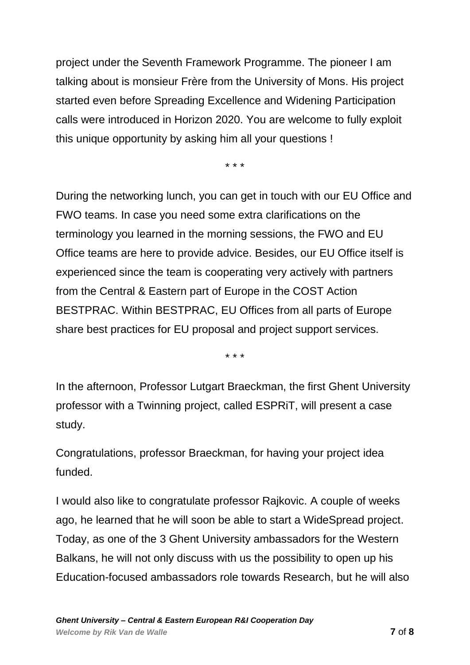project under the Seventh Framework Programme. The pioneer I am talking about is monsieur Frère from the University of Mons. His project started even before Spreading Excellence and Widening Participation calls were introduced in Horizon 2020. You are welcome to fully exploit this unique opportunity by asking him all your questions !

\* \* \*

During the networking lunch, you can get in touch with our EU Office and FWO teams. In case you need some extra clarifications on the terminology you learned in the morning sessions, the FWO and EU Office teams are here to provide advice. Besides, our EU Office itself is experienced since the team is cooperating very actively with partners from the Central & Eastern part of Europe in the COST Action BESTPRAC. Within BESTPRAC, EU Offices from all parts of Europe share best practices for EU proposal and project support services.

\* \* \*

In the afternoon, Professor Lutgart Braeckman, the first Ghent University professor with a Twinning project, called ESPRiT, will present a case study.

Congratulations, professor Braeckman, for having your project idea funded.

I would also like to congratulate professor Rajkovic. A couple of weeks ago, he learned that he will soon be able to start a WideSpread project. Today, as one of the 3 Ghent University ambassadors for the Western Balkans, he will not only discuss with us the possibility to open up his Education-focused ambassadors role towards Research, but he will also